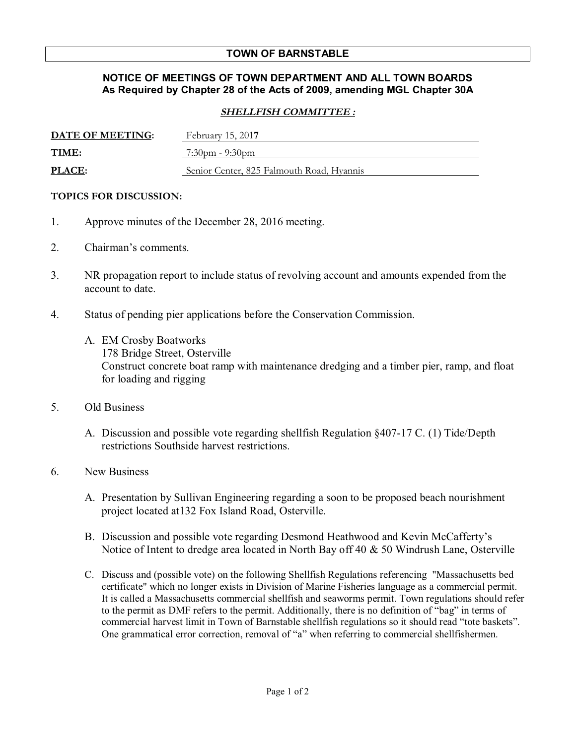## **TOWN OF BARNSTABLE**

## **NOTICE OF MEETINGS OF TOWN DEPARTMENT AND ALL TOWN BOARDS As Required by Chapter 28 of the Acts of 2009, amending MGL Chapter 30A**

## **SHELLFISH COMMITTEE :**

| DATE OF MEETING: | February 15, 2017                         |
|------------------|-------------------------------------------|
| <b>TIME:</b>     | $7:30$ pm - 9:30pm                        |
| <b>PLACE:</b>    | Senior Center, 825 Falmouth Road, Hyannis |

## **TOPICS FOR DISCUSSION:**

- 1. Approve minutes of the December 28, 2016 meeting.
- 2. Chairman's comments.
- 3. NR propagation report to include status of revolving account and amounts expended from the account to date.
- 4. Status of pending pier applications before the Conservation Commission.
	- A. EM Crosby Boatworks 178 Bridge Street, Osterville Construct concrete boat ramp with maintenance dredging and a timber pier, ramp, and float for loading and rigging
- 5. Old Business
	- A. Discussion and possible vote regarding shellfish Regulation §407-17 C. (1) Tide/Depth restrictions Southside harvest restrictions.
- 6. New Business
	- A. Presentation by Sullivan Engineering regarding a soon to be proposed beach nourishment project located at132 Fox Island Road, Osterville.
	- B. Discussion and possible vote regarding Desmond Heathwood and Kevin McCafferty's Notice of Intent to dredge area located in North Bay off 40 & 50 Windrush Lane, Osterville
	- C. Discuss and (possible vote) on the following Shellfish Regulations referencing "Massachusetts bed certificate" which no longer exists in Division of Marine Fisheries language as a commercial permit. It is called a Massachusetts commercial shellfish and seaworms permit. Town regulations should refer to the permit as DMF refers to the permit. Additionally, there is no definition of "bag" in terms of commercial harvest limit in Town of Barnstable shellfish regulations so it should read "tote baskets". One grammatical error correction, removal of "a" when referring to commercial shellfishermen.